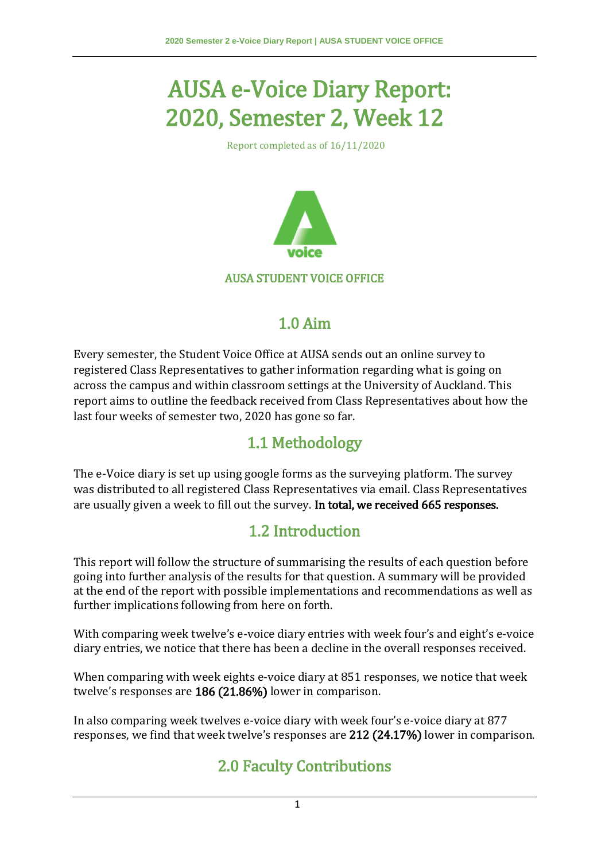# AUSA e-Voice Diary Report: 2020, Semester 2, Week 12

Report completed as of 16/11/2020



### AUSA STUDENT VOICE OFFICE

### 1.0 Aim

Every semester, the Student Voice Office at AUSA sends out an online survey to registered Class Representatives to gather information regarding what is going on across the campus and within classroom settings at the University of Auckland. This report aims to outline the feedback received from Class Representatives about how the last four weeks of semester two, 2020 has gone so far.

### 1.1 Methodology

The e-Voice diary is set up using google forms as the surveying platform. The survey was distributed to all registered Class Representatives via email. Class Representatives are usually given a week to fill out the survey. In total, we received 665 responses.

### 1.2 Introduction

This report will follow the structure of summarising the results of each question before going into further analysis of the results for that question. A summary will be provided at the end of the report with possible implementations and recommendations as well as further implications following from here on forth.

With comparing week twelve's e-voice diary entries with week four's and eight's e-voice diary entries, we notice that there has been a decline in the overall responses received.

When comparing with week eights e-voice diary at 851 responses, we notice that week twelve's responses are 186 (21.86%) lower in comparison.

In also comparing week twelves e-voice diary with week four's e-voice diary at 877 responses, we find that week twelve's responses are 212 (24.17%) lower in comparison.

# 2.0 Faculty Contributions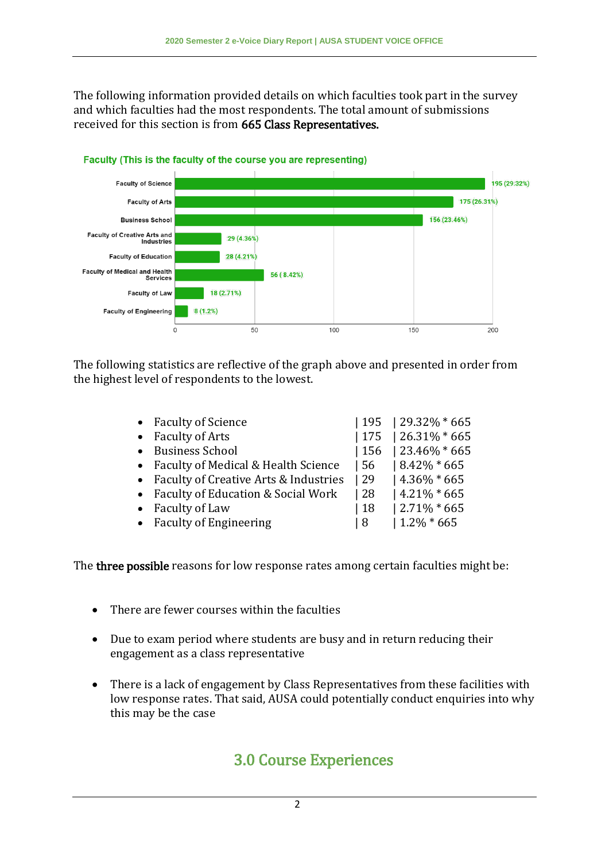The following information provided details on which faculties took part in the survey and which faculties had the most respondents. The total amount of submissions received for this section is from 665 Class Representatives.



Faculty (This is the faculty of the course you are representing)

The following statistics are reflective of the graph above and presented in order from the highest level of respondents to the lowest.

| • Faculty of Science                    |              | $195$   29.32% * 665 |
|-----------------------------------------|--------------|----------------------|
| • Faculty of Arts                       |              | $175$   26.31% * 665 |
| <b>Business School</b>                  | 156          | $123.46\% * 665$     |
| • Faculty of Medical & Health Science   | l 56         | $18.42\% * 665$      |
| • Faculty of Creative Arts & Industries | $ 29\rangle$ | $14.36\% * 665$      |
| • Faculty of Education & Social Work    | 28           | $14.21\% * 665$      |
| Faculty of Law                          | 18           | $12.71\% * 665$      |
| • Faculty of Engineering                | 18           | $1.2\% * 665$        |
|                                         |              |                      |

The three possible reasons for low response rates among certain faculties might be:

- There are fewer courses within the faculties
- Due to exam period where students are busy and in return reducing their engagement as a class representative
- There is a lack of engagement by Class Representatives from these facilities with low response rates. That said, AUSA could potentially conduct enquiries into why this may be the case

### 3.0 Course Experiences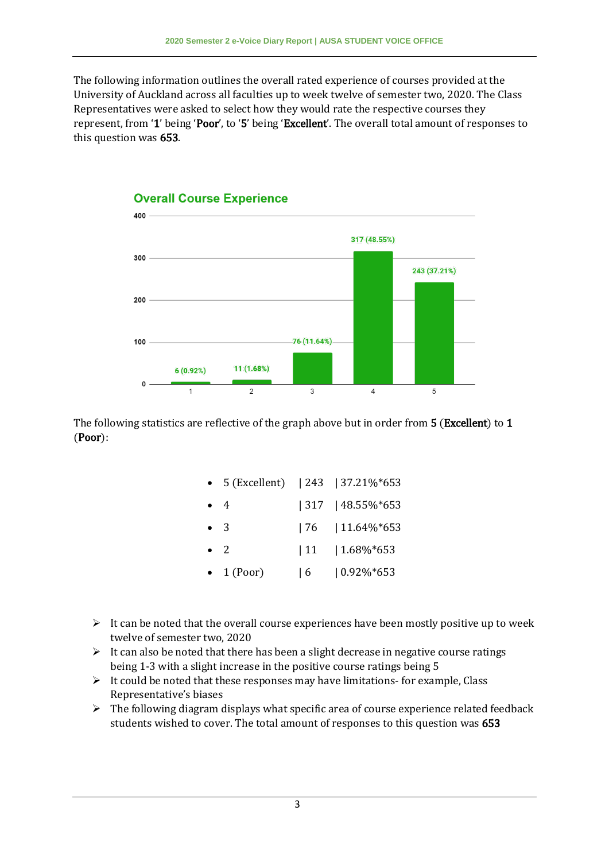The following information outlines the overall rated experience of courses provided at the University of Auckland across all faculties up to week twelve of semester two, 2020. The Class Representatives were asked to select how they would rate the respective courses they represent, from '1' being 'Poor', to '5' being 'Excellent'. The overall total amount of responses to this question was 653.



### **Overall Course Experience**

The following statistics are reflective of the graph above but in order from 5 (**Excellent**) to 1 (Poor):

|  | 5 (Excellent) |  | $ 243 $ $ 37.21\%*653 $ |
|--|---------------|--|-------------------------|
|--|---------------|--|-------------------------|

- 4 | 317 | 48.55%\*653
- 3 | 76 | 11.64%\*653
- 2 | 11 | 1.68%\*653
- 1 (Poor) | 6 | 0.92%\*653
- $\triangleright$  It can be noted that the overall course experiences have been mostly positive up to week twelve of semester two, 2020
- $\triangleright$  It can also be noted that there has been a slight decrease in negative course ratings being 1-3 with a slight increase in the positive course ratings being 5
- $\triangleright$  It could be noted that these responses may have limitations- for example, Class Representative's biases
- $\triangleright$  The following diagram displays what specific area of course experience related feedback students wished to cover. The total amount of responses to this question was 653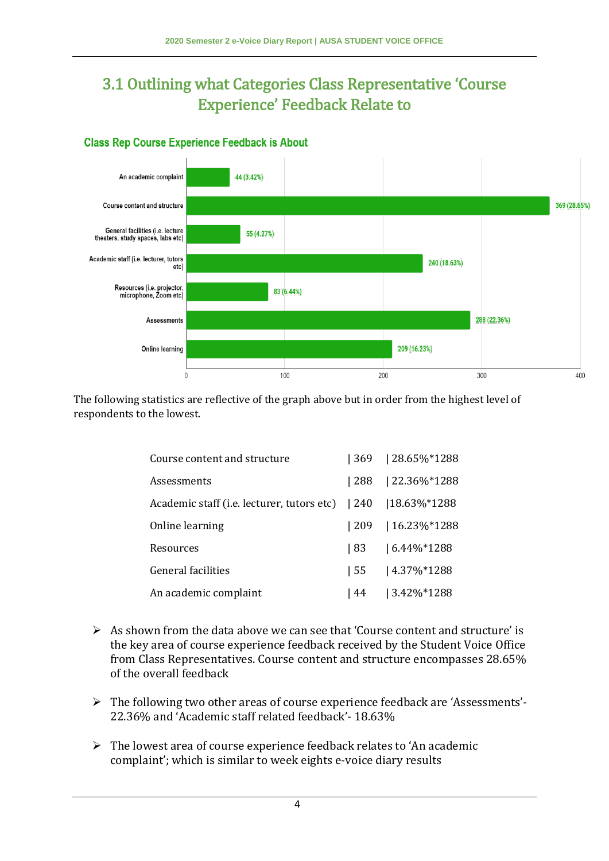# 3.1 Outlining what Categories Class Representative 'Course Experience' Feedback Relate to

### **Class Rep Course Experience Feedback is About**



The following statistics are reflective of the graph above but in order from the highest level of respondents to the lowest.

| Course content and structure                     |               | 369   28.65%*1288 |
|--------------------------------------------------|---------------|-------------------|
| Assessments                                      | 288           | 22.36%*1288       |
| Academic staff (i.e. lecturer, tutors etc)   240 |               | 18.63%*1288       |
| Online learning                                  | $ 209\rangle$ | 16.23%*1288       |
| Resources                                        | 183           | $16.44\%*1288$    |
| General facilities                               | l 55          | $14.37\%*1288$    |
| An academic complaint                            | l 44          | $ 3.42\%*1288$    |

- $\triangleright$  As shown from the data above we can see that 'Course content and structure' is the key area of course experience feedback received by the Student Voice Office from Class Representatives. Course content and structure encompasses 28.65% of the overall feedback
- $\triangleright$  The following two other areas of course experience feedback are 'Assessments'-22.36% and 'Academic staff related feedback'- 18.63%
- $\triangleright$  The lowest area of course experience feedback relates to 'An academic complaint'; which is similar to week eights e-voice diary results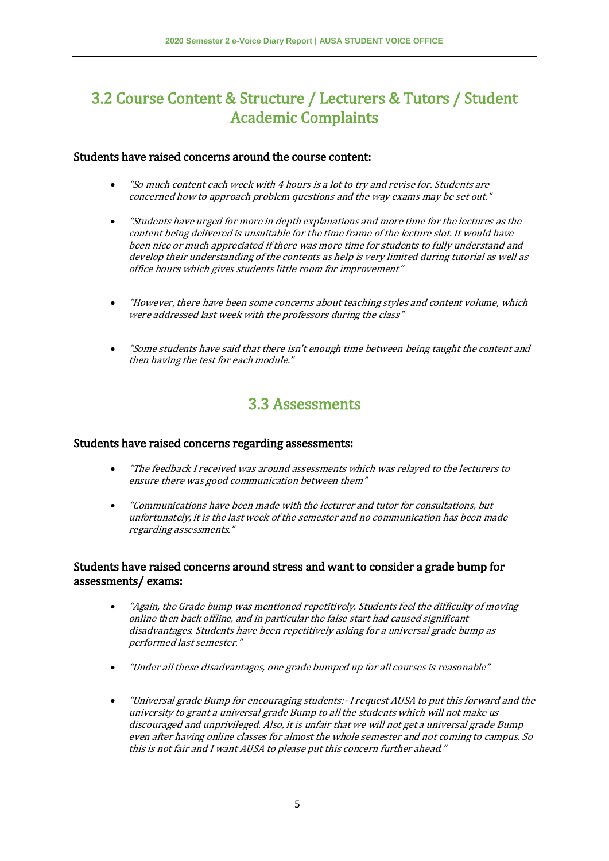### 3.2 Course Content & Structure / Lecturers & Tutors / Student Academic Complaints

#### Students have raised concerns around the course content:

- "So much content each week with 4 hours is a lot to try and revise for. Students are concerned how to approach problem questions and the way exams may be set out."
- "Students have urged for more in depth explanations and more time for the lectures as the content being delivered is unsuitable for the time frame of the lecture slot. It would have been nice or much appreciated if there was more time for students to fully understand and develop their understanding of the contents as help is very limited during tutorial as well as office hours which gives students little room for improvement"
- "However, there have been some concerns about teaching styles and content volume, which were addressed last week with the professors during the class"
- "Some students have said that there isn't enough time between being taught the content and then having the test for each module."

### 3.3 Assessments

#### Students have raised concerns regarding assessments:

- "The feedback I received was around assessments which was relayed to the lecturers to ensure there was good communication between them"
- "Communications have been made with the lecturer and tutor for consultations, but unfortunately, it is the last week of the semester and no communication has been made regarding assessments."

#### Students have raised concerns around stress and want to consider a grade bump for assessments/ exams:

- "Again, the Grade bump was mentioned repetitively. Students feel the difficulty of moving online then back offline, and in particular the false start had caused significant disadvantages. Students have been repetitively asking for a universal grade bump as performed last semester."
- "Under all these disadvantages, one grade bumped up for all courses is reasonable"
- "Universal grade Bump for encouraging students:- I request AUSA to put this forward and the university to grant a universal grade Bump to all the students which will not make us discouraged and unprivileged. Also, it is unfair that we will not get a universal grade Bump even after having online classes for almost the whole semester and not coming to campus. So this is not fair and I want AUSA to please put this concern further ahead."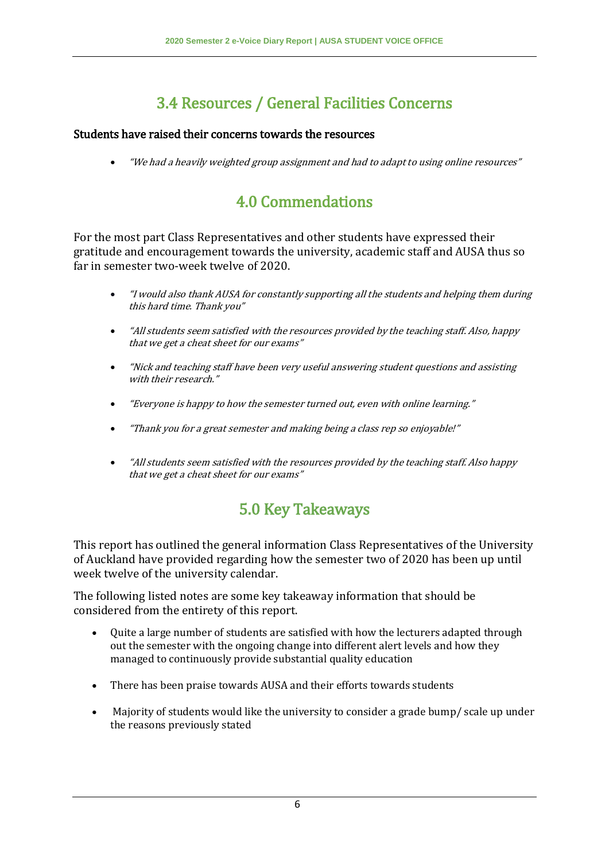# 3.4 Resources / General Facilities Concerns

### Students have raised their concerns towards the resources

"We had a heavily weighted group assignment and had to adapt to using online resources"

# 4.0 Commendations

For the most part Class Representatives and other students have expressed their gratitude and encouragement towards the university, academic staff and AUSA thus so far in semester two-week twelve of 2020.

- "I would also thank AUSA for constantly supporting all the students and helping them during this hard time. Thank you"
- "All students seem satisfied with the resources provided by the teaching staff. Also, happy that we get a cheat sheet for our exams"
- "Nick and teaching staff have been very useful answering student questions and assisting with their research."
- "Everyone is happy to how the semester turned out, even with online learning."
- "Thank you for a great semester and making being a class rep so enjoyable!"
- "All students seem satisfied with the resources provided by the teaching staff. Also happy that we get a cheat sheet for our exams"

## 5.0 Key Takeaways

This report has outlined the general information Class Representatives of the University of Auckland have provided regarding how the semester two of 2020 has been up until week twelve of the university calendar.

The following listed notes are some key takeaway information that should be considered from the entirety of this report.

- Quite a large number of students are satisfied with how the lecturers adapted through out the semester with the ongoing change into different alert levels and how they managed to continuously provide substantial quality education
- There has been praise towards AUSA and their efforts towards students
- Majority of students would like the university to consider a grade bump/ scale up under the reasons previously stated